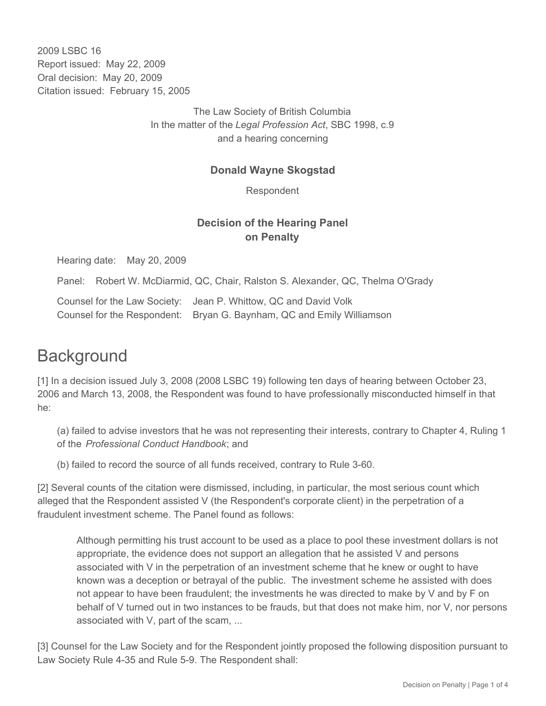2009 LSBC 16 Report issued: May 22, 2009 Oral decision: May 20, 2009 Citation issued: February 15, 2005

> The Law Society of British Columbia In the matter of the *Legal Profession Act*, SBC 1998, c.9 and a hearing concerning

## **Donald Wayne Skogstad**

Respondent

## **Decision of the Hearing Panel on Penalty**

Hearing date: May 20, 2009

Panel: Robert W. McDiarmid, QC, Chair, Ralston S. Alexander, QC, Thelma O'Grady

Counsel for the Law Society: Jean P. Whittow, QC and David Volk Counsel for the Respondent: Bryan G. Baynham, QC and Emily Williamson

## **Background**

[1] In a decision issued July 3, 2008 (2008 LSBC 19) following ten days of hearing between October 23, 2006 and March 13, 2008, the Respondent was found to have professionally misconducted himself in that he:

(a) failed to advise investors that he was not representing their interests, contrary to Chapter 4, Ruling 1 of the *Professional Conduct Handbook*; and

(b) failed to record the source of all funds received, contrary to Rule 3-60.

[2] Several counts of the citation were dismissed, including, in particular, the most serious count which alleged that the Respondent assisted V (the Respondent's corporate client) in the perpetration of a fraudulent investment scheme. The Panel found as follows:

Although permitting his trust account to be used as a place to pool these investment dollars is not appropriate, the evidence does not support an allegation that he assisted V and persons associated with V in the perpetration of an investment scheme that he knew or ought to have known was a deception or betrayal of the public. The investment scheme he assisted with does not appear to have been fraudulent; the investments he was directed to make by V and by F on behalf of V turned out in two instances to be frauds, but that does not make him, nor V, nor persons associated with V, part of the scam, ...

[3] Counsel for the Law Society and for the Respondent jointly proposed the following disposition pursuant to Law Society Rule 4-35 and Rule 5-9. The Respondent shall: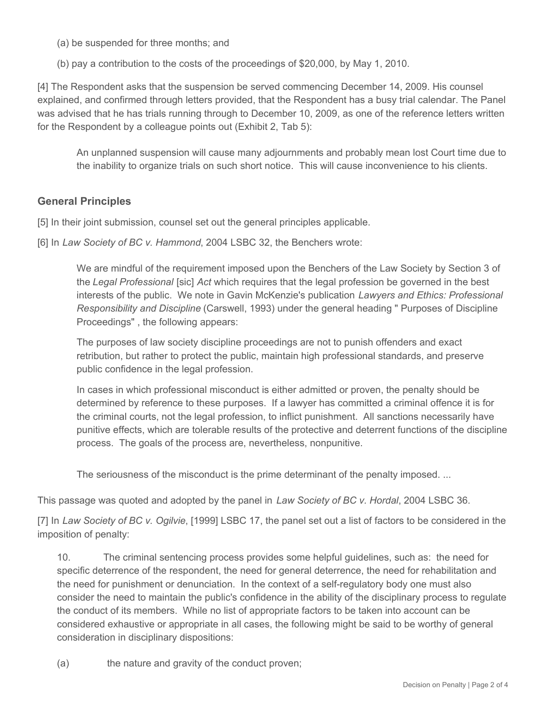(a) be suspended for three months; and

(b) pay a contribution to the costs of the proceedings of \$20,000, by May 1, 2010.

[4] The Respondent asks that the suspension be served commencing December 14, 2009. His counsel explained, and confirmed through letters provided, that the Respondent has a busy trial calendar. The Panel was advised that he has trials running through to December 10, 2009, as one of the reference letters written for the Respondent by a colleague points out (Exhibit 2, Tab 5):

An unplanned suspension will cause many adjournments and probably mean lost Court time due to the inability to organize trials on such short notice. This will cause inconvenience to his clients.

## **General Principles**

[5] In their joint submission, counsel set out the general principles applicable.

[6] In *Law Society of BC v. Hammond*, 2004 LSBC 32, the Benchers wrote:

We are mindful of the requirement imposed upon the Benchers of the Law Society by Section 3 of the *Legal Professional* [sic] *Act* which requires that the legal profession be governed in the best interests of the public. We note in Gavin McKenzie's publication *Lawyers and Ethics: Professional Responsibility and Discipline* (Carswell, 1993) under the general heading " Purposes of Discipline Proceedings" , the following appears:

The purposes of law society discipline proceedings are not to punish offenders and exact retribution, but rather to protect the public, maintain high professional standards, and preserve public confidence in the legal profession.

In cases in which professional misconduct is either admitted or proven, the penalty should be determined by reference to these purposes. If a lawyer has committed a criminal offence it is for the criminal courts, not the legal profession, to inflict punishment. All sanctions necessarily have punitive effects, which are tolerable results of the protective and deterrent functions of the discipline process. The goals of the process are, nevertheless, nonpunitive.

The seriousness of the misconduct is the prime determinant of the penalty imposed. ...

This passage was quoted and adopted by the panel in *Law Society of BC v. Hordal*, 2004 LSBC 36.

[7] In *Law Society of BC v. Ogilvie*, [1999] LSBC 17, the panel set out a list of factors to be considered in the imposition of penalty:

10. The criminal sentencing process provides some helpful guidelines, such as: the need for specific deterrence of the respondent, the need for general deterrence, the need for rehabilitation and the need for punishment or denunciation. In the context of a self-regulatory body one must also consider the need to maintain the public's confidence in the ability of the disciplinary process to regulate the conduct of its members. While no list of appropriate factors to be taken into account can be considered exhaustive or appropriate in all cases, the following might be said to be worthy of general consideration in disciplinary dispositions:

(a) the nature and gravity of the conduct proven;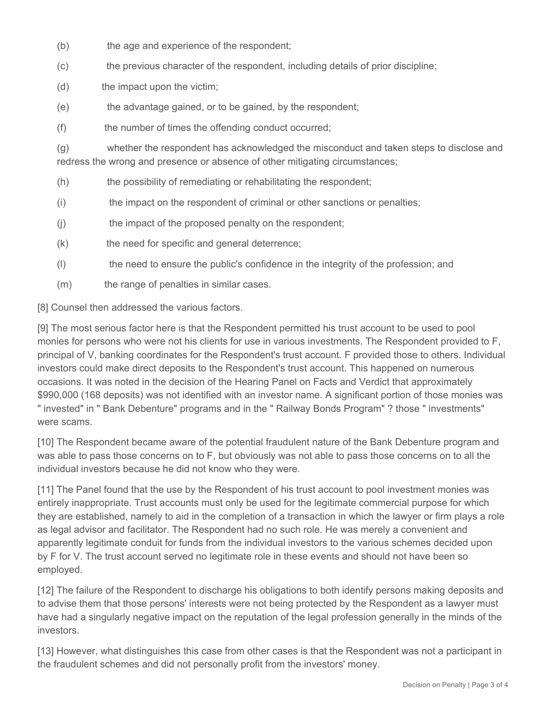- (b) the age and experience of the respondent;
- (c) the previous character of the respondent, including details of prior discipline;
- (d) the impact upon the victim;
- (e) the advantage gained, or to be gained, by the respondent;
- (f) the number of times the offending conduct occurred;

(g) whether the respondent has acknowledged the misconduct and taken steps to disclose and redress the wrong and presence or absence of other mitigating circumstances;

- (h) the possibility of remediating or rehabilitating the respondent;
- (i) the impact on the respondent of criminal or other sanctions or penalties;
- (j) the impact of the proposed penalty on the respondent;
- (k) the need for specific and general deterrence;
- (l) the need to ensure the public's confidence in the integrity of the profession; and
- (m) the range of penalties in similar cases.

[8] Counsel then addressed the various factors.

[9] The most serious factor here is that the Respondent permitted his trust account to be used to pool monies for persons who were not his clients for use in various investments. The Respondent provided to F, principal of V, banking coordinates for the Respondent's trust account. F provided those to others. Individual investors could make direct deposits to the Respondent's trust account. This happened on numerous occasions. It was noted in the decision of the Hearing Panel on Facts and Verdict that approximately \$990,000 (168 deposits) was not identified with an investor name. A significant portion of those monies was " invested" in " Bank Debenture" programs and in the " Railway Bonds Program" ? those " investments" were scams.

[10] The Respondent became aware of the potential fraudulent nature of the Bank Debenture program and was able to pass those concerns on to F, but obviously was not able to pass those concerns on to all the individual investors because he did not know who they were.

[11] The Panel found that the use by the Respondent of his trust account to pool investment monies was entirely inappropriate. Trust accounts must only be used for the legitimate commercial purpose for which they are established, namely to aid in the completion of a transaction in which the lawyer or firm plays a role as legal advisor and facilitator. The Respondent had no such role. He was merely a convenient and apparently legitimate conduit for funds from the individual investors to the various schemes decided upon by F for V. The trust account served no legitimate role in these events and should not have been so employed.

[12] The failure of the Respondent to discharge his obligations to both identify persons making deposits and to advise them that those persons' interests were not being protected by the Respondent as a lawyer must have had a singularly negative impact on the reputation of the legal profession generally in the minds of the investors.

[13] However, what distinguishes this case from other cases is that the Respondent was not a participant in the fraudulent schemes and did not personally profit from the investors' money.